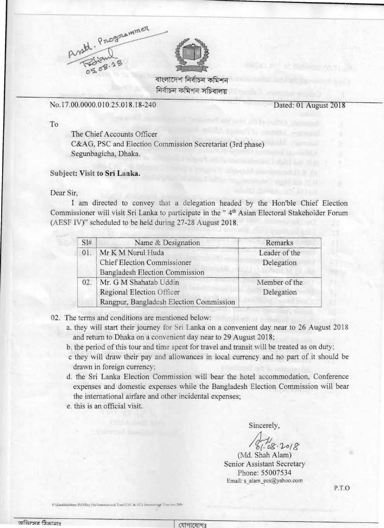

নিৰ্বাচন কমিশন সচিবালয়

No.17.00.0000.0 10.25.018.18-240 Dated: 01 August 2018

To

The Chief Accounts Officer C&AG, PSC and Election C ommission Secretariat (3rd phase) Segunbagicha, Dhaka.

## **Subject: Visit to Sri Lanka.**

## Dear Sir,

I am directed to convey that a delegation headed by the Hon'ble Chief Election Commissioner will visit Sri Lanka to participate in the "4<sup>th</sup> Asian Electoral Stakehoider Forum (AESF IV)" scheduled to be held during 27-28 August 2018.

| SI# | Name & Designation                      | Remarks       |
|-----|-----------------------------------------|---------------|
| 01. | Mr K M Nurul Huda                       | Leader of the |
|     | <b>Chief Election Commissioner</b>      | Delegation    |
|     | Bangladesh Election Commission          |               |
| 02: | Mr. G M Shahatab Uddin                  | Member of the |
|     | Regional Election Officer               | Delegation    |
|     | Rangpur, Bangladesh Election Commission |               |

- 02. The terms and conditions are mentioned below:
	- a. they will start their journey for Sri Lanka on a convenient day near to 26 August 2018 and return to Dhaka on a convenient day near to 29 August 2018;
	- b. the period of this tour and time spent for travel and transit will be treated as on duty;
	- c they will draw their pay and allowances in local currency and no part of it should be drawn in foreign currency;
	- d. the Sri Lanka Election Commission will bear the hotel accommodation, Conference expenses and domestic expenses while the Bangladesh Election Commission will bear the international airfare and other incidental expenses;
	- e. this is an official visit.

Sincerely,

 $1.08.2018$ 

(Md. Shah Alam) Senior Assistant Secretary Phone: 55007534 Email: s\_alam\_\!cs@yahoo.com

P.T.O

F \EstablishMent-2\Office File\International Tour\CEC & EC's International Tour doc-208-